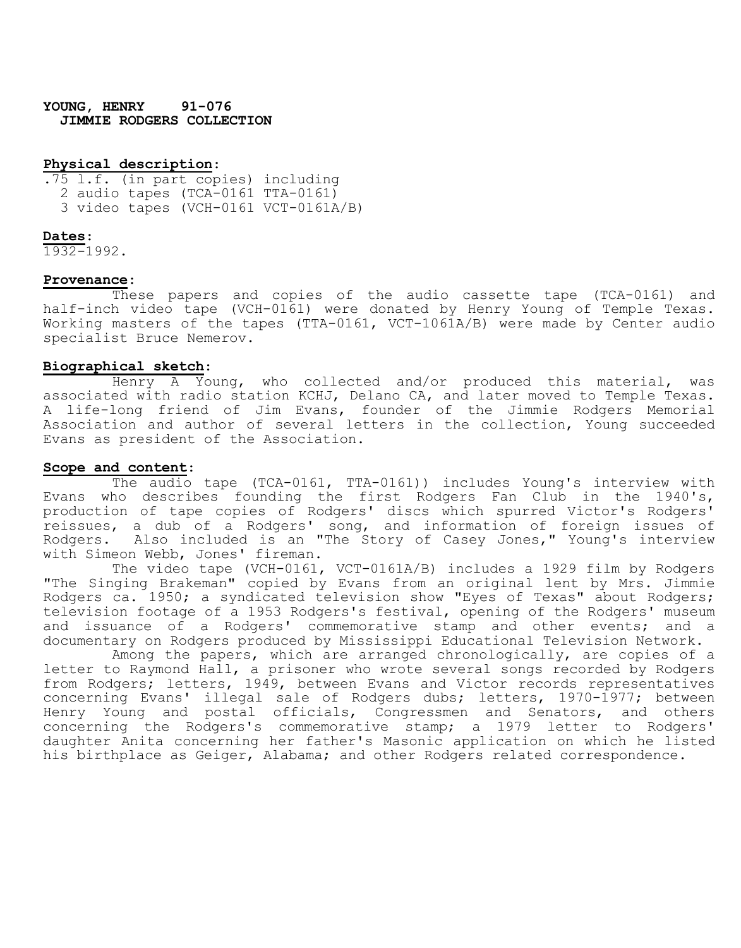**YOUNG, HENRY 91-076 JIMMIE RODGERS COLLECTION**

## **Physical description**:

.75 l.f. (in part copies) including 2 audio tapes (TCA-0161 TTA-0161) 3 video tapes (VCH-0161 VCT-0161A/B)

#### **Dates**:

1932-1992.

#### **Provenance**:

These papers and copies of the audio cassette tape (TCA-0161) and half-inch video tape (VCH-0161) were donated by Henry Young of Temple Texas. Working masters of the tapes (TTA-0161, VCT-1061A/B) were made by Center audio specialist Bruce Nemerov.

## **Biographical sketch**:

Henry A Young, who collected and/or produced this material, was associated with radio station KCHJ, Delano CA, and later moved to Temple Texas. A life-long friend of Jim Evans, founder of the Jimmie Rodgers Memorial Association and author of several letters in the collection, Young succeeded Evans as president of the Association.

## **Scope and content**:

The audio tape (TCA-0161, TTA-0161)) includes Young's interview with Evans who describes founding the first Rodgers Fan Club in the 1940's, production of tape copies of Rodgers' discs which spurred Victor's Rodgers' reissues, a dub of a Rodgers' song, and information of foreign issues of Rodgers. Also included is an "The Story of Casey Jones," Young's interview with Simeon Webb, Jones' fireman.

The video tape (VCH-0161, VCT-0161A/B) includes a 1929 film by Rodgers "The Singing Brakeman" copied by Evans from an original lent by Mrs. Jimmie Rodgers ca. 1950; a syndicated television show "Eyes of Texas" about Rodgers; television footage of a 1953 Rodgers's festival, opening of the Rodgers' museum and issuance of a Rodgers' commemorative stamp and other events; and a documentary on Rodgers produced by Mississippi Educational Television Network.

Among the papers, which are arranged chronologically, are copies of a letter to Raymond Hall, a prisoner who wrote several songs recorded by Rodgers from Rodgers; letters, 1949, between Evans and Victor records representatives concerning Evans' illegal sale of Rodgers dubs; letters, 1970-1977; between Henry Young and postal officials, Congressmen and Senators, and others concerning the Rodgers's commemorative stamp; a 1979 letter to Rodgers' daughter Anita concerning her father's Masonic application on which he listed his birthplace as Geiger, Alabama; and other Rodgers related correspondence.